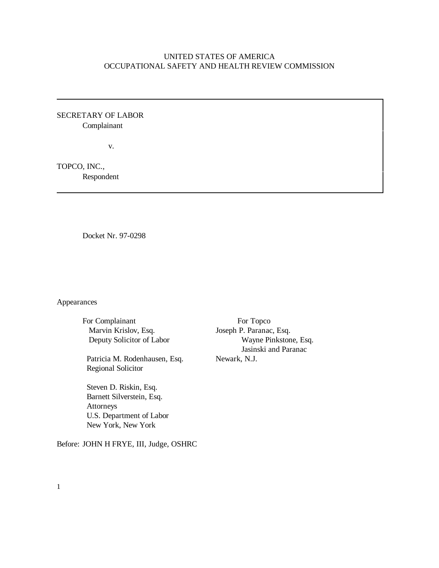# UNITED STATES OF AMERICA OCCUPATIONAL SAFETY AND HEALTH REVIEW COMMISSION

SECRETARY OF LABOR Complainant

v.

TOPCO, INC., Respondent

Docket Nr. 97-0298

Appearances

For Complainant For Topco Marvin Krislov, Esq. Joseph P. Paranac, Esq.

Patricia M. Rodenhausen, Esq. Newark, N.J. Regional Solicitor

 Steven D. Riskin, Esq. Barnett Silverstein, Esq. Attorneys U.S. Department of Labor New York, New York

Before: JOHN H FRYE, III, Judge, OSHRC

 Deputy Solicitor of Labor Wayne Pinkstone, Esq. Jasinski and Paranac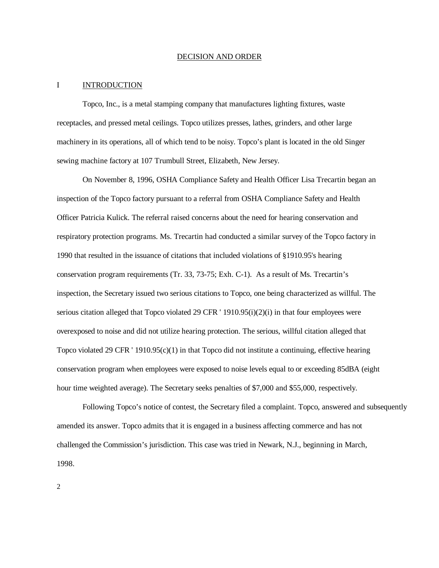#### DECISION AND ORDER

### I INTRODUCTION

Topco, Inc., is a metal stamping company that manufactures lighting fixtures, waste receptacles, and pressed metal ceilings. Topco utilizes presses, lathes, grinders, and other large machinery in its operations, all of which tend to be noisy. Topco's plant is located in the old Singer sewing machine factory at 107 Trumbull Street, Elizabeth, New Jersey.

On November 8, 1996, OSHA Compliance Safety and Health Officer Lisa Trecartin began an inspection of the Topco factory pursuant to a referral from OSHA Compliance Safety and Health Officer Patricia Kulick. The referral raised concerns about the need for hearing conservation and respiratory protection programs. Ms. Trecartin had conducted a similar survey of the Topco factory in 1990 that resulted in the issuance of citations that included violations of §1910.95's hearing conservation program requirements (Tr. 33, 73-75; Exh. C-1). As a result of Ms. Trecartin's inspection, the Secretary issued two serious citations to Topco, one being characterized as willful. The serious citation alleged that Topco violated 29 CFR  $'$  1910.95(i)(2)(i) in that four employees were overexposed to noise and did not utilize hearing protection. The serious, willful citation alleged that Topco violated 29 CFR ' 1910.95(c)(1) in that Topco did not institute a continuing, effective hearing conservation program when employees were exposed to noise levels equal to or exceeding 85dBA (eight hour time weighted average). The Secretary seeks penalties of \$7,000 and \$55,000, respectively.

Following Topco's notice of contest, the Secretary filed a complaint. Topco, answered and subsequently amended its answer. Topco admits that it is engaged in a business affecting commerce and has not challenged the Commission's jurisdiction. This case was tried in Newark, N.J., beginning in March, 1998.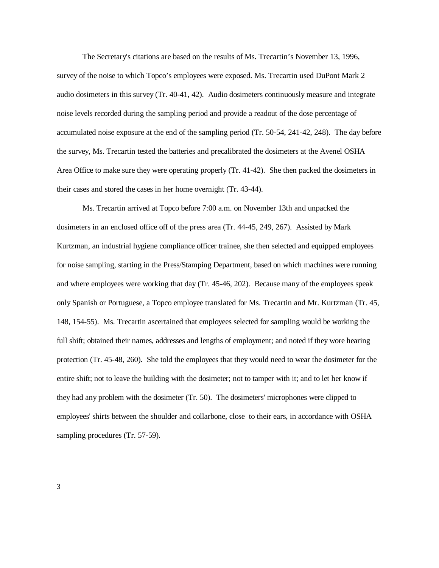The Secretary's citations are based on the results of Ms. Trecartin's November 13, 1996, survey of the noise to which Topco's employees were exposed. Ms. Trecartin used DuPont Mark 2 audio dosimeters in this survey (Tr. 40-41, 42). Audio dosimeters continuously measure and integrate noise levels recorded during the sampling period and provide a readout of the dose percentage of accumulated noise exposure at the end of the sampling period (Tr. 50-54, 241-42, 248). The day before the survey, Ms. Trecartin tested the batteries and precalibrated the dosimeters at the Avenel OSHA Area Office to make sure they were operating properly (Tr. 41-42). She then packed the dosimeters in their cases and stored the cases in her home overnight (Tr. 43-44).

Ms. Trecartin arrived at Topco before 7:00 a.m. on November 13th and unpacked the dosimeters in an enclosed office off of the press area (Tr. 44-45, 249, 267). Assisted by Mark Kurtzman, an industrial hygiene compliance officer trainee, she then selected and equipped employees for noise sampling, starting in the Press/Stamping Department, based on which machines were running and where employees were working that day (Tr. 45-46, 202). Because many of the employees speak only Spanish or Portuguese, a Topco employee translated for Ms. Trecartin and Mr. Kurtzman (Tr. 45, 148, 154-55). Ms. Trecartin ascertained that employees selected for sampling would be working the full shift; obtained their names, addresses and lengths of employment; and noted if they wore hearing protection (Tr. 45-48, 260). She told the employees that they would need to wear the dosimeter for the entire shift; not to leave the building with the dosimeter; not to tamper with it; and to let her know if they had any problem with the dosimeter (Tr. 50). The dosimeters' microphones were clipped to employees' shirts between the shoulder and collarbone, close to their ears, in accordance with OSHA sampling procedures (Tr. 57-59).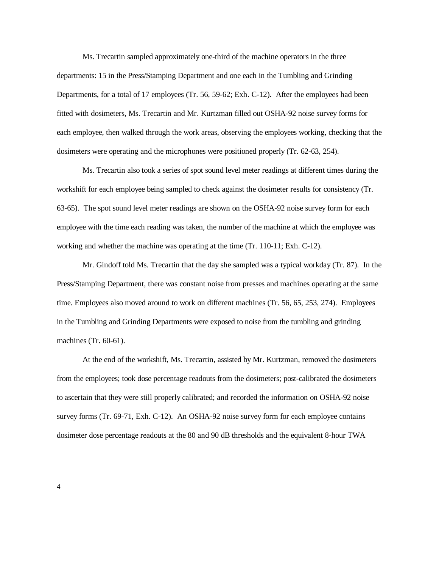Ms. Trecartin sampled approximately one-third of the machine operators in the three departments: 15 in the Press/Stamping Department and one each in the Tumbling and Grinding Departments, for a total of 17 employees (Tr. 56, 59-62; Exh. C-12). After the employees had been fitted with dosimeters, Ms. Trecartin and Mr. Kurtzman filled out OSHA-92 noise survey forms for each employee, then walked through the work areas, observing the employees working, checking that the dosimeters were operating and the microphones were positioned properly (Tr. 62-63, 254).

Ms. Trecartin also took a series of spot sound level meter readings at different times during the workshift for each employee being sampled to check against the dosimeter results for consistency (Tr. 63-65). The spot sound level meter readings are shown on the OSHA-92 noise survey form for each employee with the time each reading was taken, the number of the machine at which the employee was working and whether the machine was operating at the time (Tr. 110-11; Exh. C-12).

Mr. Gindoff told Ms. Trecartin that the day she sampled was a typical workday (Tr. 87). In the Press/Stamping Department, there was constant noise from presses and machines operating at the same time. Employees also moved around to work on different machines (Tr. 56, 65, 253, 274). Employees in the Tumbling and Grinding Departments were exposed to noise from the tumbling and grinding machines (Tr. 60-61).

At the end of the workshift, Ms. Trecartin, assisted by Mr. Kurtzman, removed the dosimeters from the employees; took dose percentage readouts from the dosimeters; post-calibrated the dosimeters to ascertain that they were still properly calibrated; and recorded the information on OSHA-92 noise survey forms (Tr. 69-71, Exh. C-12). An OSHA-92 noise survey form for each employee contains dosimeter dose percentage readouts at the 80 and 90 dB thresholds and the equivalent 8-hour TWA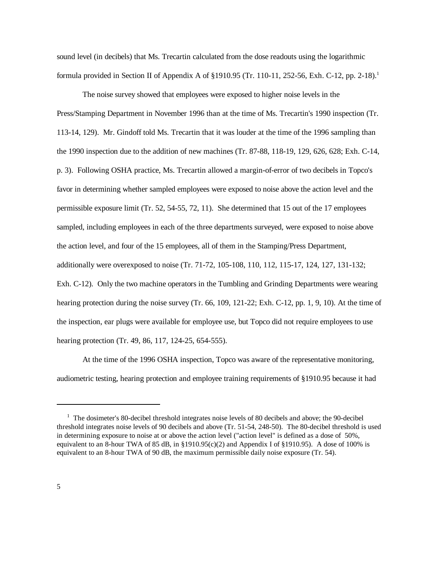sound level (in decibels) that Ms. Trecartin calculated from the dose readouts using the logarithmic formula provided in Section II of Appendix A of §1910.95 (Tr. 110-11, 252-56, Exh. C-12, pp. 2-18).<sup>1</sup>

The noise survey showed that employees were exposed to higher noise levels in the Press/Stamping Department in November 1996 than at the time of Ms. Trecartin's 1990 inspection (Tr. 113-14, 129). Mr. Gindoff told Ms. Trecartin that it was louder at the time of the 1996 sampling than the 1990 inspection due to the addition of new machines (Tr. 87-88, 118-19, 129, 626, 628; Exh. C-14, p. 3). Following OSHA practice, Ms. Trecartin allowed a margin-of-error of two decibels in Topco's favor in determining whether sampled employees were exposed to noise above the action level and the permissible exposure limit (Tr. 52, 54-55, 72, 11). She determined that 15 out of the 17 employees sampled, including employees in each of the three departments surveyed, were exposed to noise above the action level, and four of the 15 employees, all of them in the Stamping/Press Department, additionally were overexposed to noise (Tr. 71-72, 105-108, 110, 112, 115-17, 124, 127, 131-132; Exh. C-12). Only the two machine operators in the Tumbling and Grinding Departments were wearing hearing protection during the noise survey (Tr. 66, 109, 121-22; Exh. C-12, pp. 1, 9, 10). At the time of the inspection, ear plugs were available for employee use, but Topco did not require employees to use hearing protection (Tr. 49, 86, 117, 124-25, 654-555).

At the time of the 1996 OSHA inspection, Topco was aware of the representative monitoring, audiometric testing, hearing protection and employee training requirements of §1910.95 because it had

<sup>&</sup>lt;sup>1</sup> The dosimeter's 80-decibel threshold integrates noise levels of 80 decibels and above; the 90-decibel threshold integrates noise levels of 90 decibels and above (Tr. 51-54, 248-50). The 80-decibel threshold is used in determining exposure to noise at or above the action level ("action level" is defined as a dose of 50%, equivalent to an 8-hour TWA of 85 dB, in §1910.95(c)(2) and Appendix I of §1910.95). A dose of 100% is equivalent to an 8-hour TWA of 90 dB, the maximum permissible daily noise exposure (Tr. 54).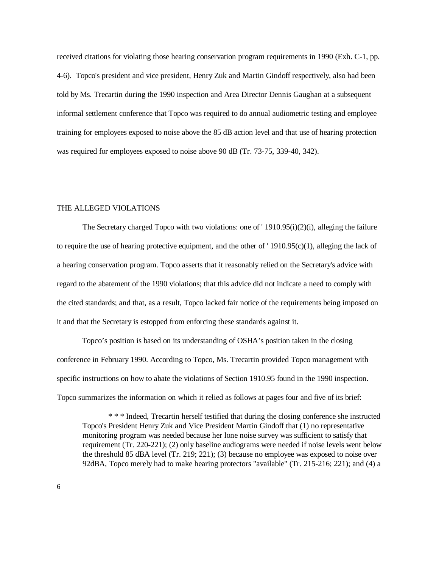received citations for violating those hearing conservation program requirements in 1990 (Exh. C-1, pp. 4-6). Topco's president and vice president, Henry Zuk and Martin Gindoff respectively, also had been told by Ms. Trecartin during the 1990 inspection and Area Director Dennis Gaughan at a subsequent informal settlement conference that Topco was required to do annual audiometric testing and employee training for employees exposed to noise above the 85 dB action level and that use of hearing protection was required for employees exposed to noise above 90 dB (Tr. 73-75, 339-40, 342).

### THE ALLEGED VIOLATIONS

The Secretary charged Topco with two violations: one of ' 1910.95(i)(2)(i), alleging the failure to require the use of hearing protective equipment, and the other of '  $1910.95(c)(1)$ , alleging the lack of a hearing conservation program. Topco asserts that it reasonably relied on the Secretary's advice with regard to the abatement of the 1990 violations; that this advice did not indicate a need to comply with the cited standards; and that, as a result, Topco lacked fair notice of the requirements being imposed on it and that the Secretary is estopped from enforcing these standards against it.

Topco's position is based on its understanding of OSHA's position taken in the closing conference in February 1990. According to Topco, Ms. Trecartin provided Topco management with specific instructions on how to abate the violations of Section 1910.95 found in the 1990 inspection. Topco summarizes the information on which it relied as follows at pages four and five of its brief:

\* \* \* Indeed, Trecartin herself testified that during the closing conference she instructed Topco's President Henry Zuk and Vice President Martin Gindoff that (1) no representative monitoring program was needed because her lone noise survey was sufficient to satisfy that requirement (Tr. 220-221); (2) only baseline audiograms were needed if noise levels went below the threshold 85 dBA level (Tr. 219; 221); (3) because no employee was exposed to noise over 92dBA, Topco merely had to make hearing protectors "available" (Tr. 215-216; 221); and (4) a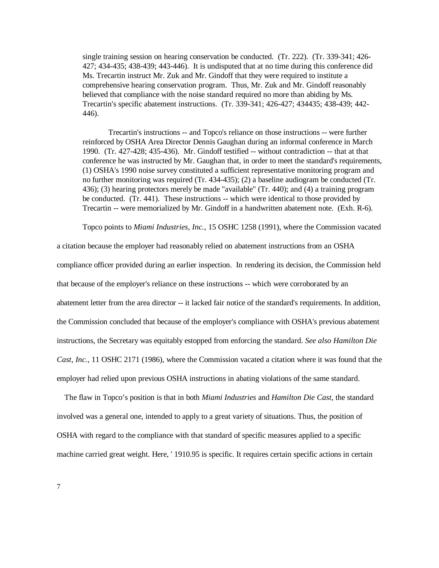single training session on hearing conservation be conducted. (Tr. 222). (Tr. 339-341; 426- 427; 434-435; 438-439; 443-446). It is undisputed that at no time during this conference did Ms. Trecartin instruct Mr. Zuk and Mr. Gindoff that they were required to institute a comprehensive hearing conservation program. Thus, Mr. Zuk and Mr. Gindoff reasonably believed that compliance with the noise standard required no more than abiding by Ms. Trecartin's specific abatement instructions. (Tr. 339-341; 426-427; 434435; 438-439; 442- 446).

Trecartin's instructions -- and Topco's reliance on those instructions -- were further reinforced by OSHA Area Director Dennis Gaughan during an informal conference in March 1990. (Tr. 427-428; 435-436). Mr. Gindoff testified -- without contradiction -- that at that conference he was instructed by Mr. Gaughan that, in order to meet the standard's requirements, (1) OSHA's 1990 noise survey constituted a sufficient representative monitoring program and no further monitoring was required (Tr. 434-435); (2) a baseline audiogram be conducted (Tr. 436); (3) hearing protectors merely be made "available" (Tr. 440); and (4) a training program be conducted. (Tr. 441). These instructions -- which were identical to those provided by Trecartin -- were memorialized by Mr. Gindoff in a handwritten abatement note. (Exh. R-6).

Topco points to *Miami Industries, Inc.*, 15 OSHC 1258 (1991), where the Commission vacated

a citation because the employer had reasonably relied on abatement instructions from an OSHA compliance officer provided during an earlier inspection. In rendering its decision, the Commission held that because of the employer's reliance on these instructions -- which were corroborated by an abatement letter from the area director -- it lacked fair notice of the standard's requirements. In addition, the Commission concluded that because of the employer's compliance with OSHA's previous abatement instructions, the Secretary was equitably estopped from enforcing the standard. *See also Hamilton Die Cast, Inc.*, 11 OSHC 2171 (1986), where the Commission vacated a citation where it was found that the employer had relied upon previous OSHA instructions in abating violations of the same standard.

The flaw in Topco's position is that in both *Miami Industries* and *Hamilton Die Cast*, the standard involved was a general one, intended to apply to a great variety of situations. Thus, the position of OSHA with regard to the compliance with that standard of specific measures applied to a specific machine carried great weight. Here, ' 1910.95 is specific. It requires certain specific actions in certain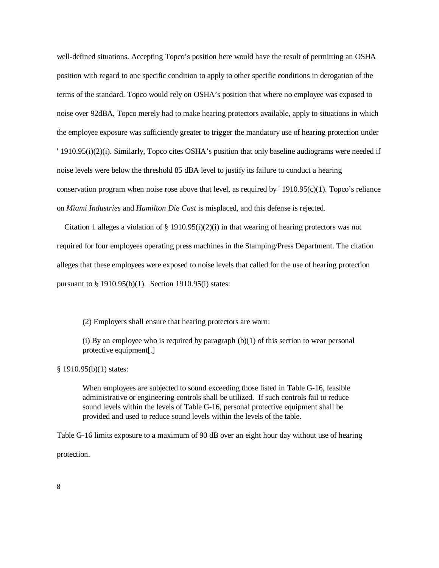well-defined situations. Accepting Topco's position here would have the result of permitting an OSHA position with regard to one specific condition to apply to other specific conditions in derogation of the terms of the standard. Topco would rely on OSHA's position that where no employee was exposed to noise over 92dBA, Topco merely had to make hearing protectors available, apply to situations in which the employee exposure was sufficiently greater to trigger the mandatory use of hearing protection under ' 1910.95(i)(2)(i). Similarly, Topco cites OSHA's position that only baseline audiograms were needed if noise levels were below the threshold 85 dBA level to justify its failure to conduct a hearing conservation program when noise rose above that level, as required by  $1910.95(c)(1)$ . Topco's reliance on *Miami Industries* and *Hamilton Die Cast* is misplaced, and this defense is rejected.

Citation 1 alleges a violation of § 1910.95(i)(2)(i) in that wearing of hearing protectors was not required for four employees operating press machines in the Stamping/Press Department. The citation alleges that these employees were exposed to noise levels that called for the use of hearing protection pursuant to § 1910.95(b)(1). Section 1910.95(i) states:

(2) Employers shall ensure that hearing protectors are worn:

(i) By an employee who is required by paragraph  $(b)(1)$  of this section to wear personal protective equipment[.]

§ 1910.95(b)(1) states:

When employees are subjected to sound exceeding those listed in Table G-16, feasible administrative or engineering controls shall be utilized. If such controls fail to reduce sound levels within the levels of Table G-16, personal protective equipment shall be provided and used to reduce sound levels within the levels of the table.

Table G-16 limits exposure to a maximum of 90 dB over an eight hour day without use of hearing protection.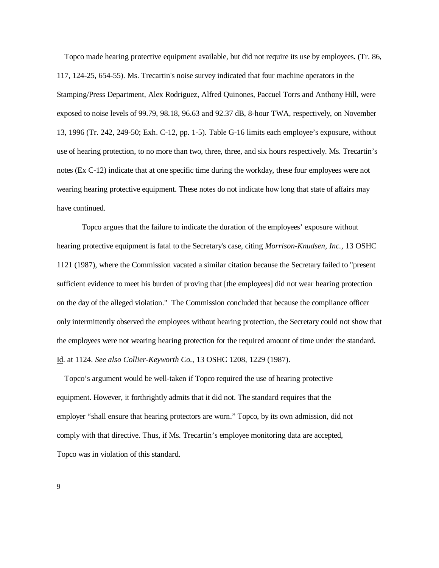Topco made hearing protective equipment available, but did not require its use by employees. (Tr. 86, 117, 124-25, 654-55). Ms. Trecartin's noise survey indicated that four machine operators in the Stamping/Press Department, Alex Rodriguez, Alfred Quinones, Paccuel Torrs and Anthony Hill, were exposed to noise levels of 99.79, 98.18, 96.63 and 92.37 dB, 8-hour TWA, respectively, on November 13, 1996 (Tr. 242, 249-50; Exh. C-12, pp. 1-5). Table G-16 limits each employee's exposure, without use of hearing protection, to no more than two, three, three, and six hours respectively. Ms. Trecartin's notes (Ex C-12) indicate that at one specific time during the workday, these four employees were not wearing hearing protective equipment. These notes do not indicate how long that state of affairs may have continued.

Topco argues that the failure to indicate the duration of the employees' exposure without hearing protective equipment is fatal to the Secretary's case, citing *Morrison-Knudsen, Inc.*, 13 OSHC 1121 (1987), where the Commission vacated a similar citation because the Secretary failed to "present sufficient evidence to meet his burden of proving that [the employees] did not wear hearing protection on the day of the alleged violation." The Commission concluded that because the compliance officer only intermittently observed the employees without hearing protection, the Secretary could not show that the employees were not wearing hearing protection for the required amount of time under the standard. Id. at 1124. *See also Collier-Keyworth Co.*, 13 OSHC 1208, 1229 (1987).

Topco's argument would be well-taken if Topco required the use of hearing protective equipment. However, it forthrightly admits that it did not. The standard requires that the employer "shall ensure that hearing protectors are worn." Topco, by its own admission, did not comply with that directive. Thus, if Ms. Trecartin's employee monitoring data are accepted, Topco was in violation of this standard.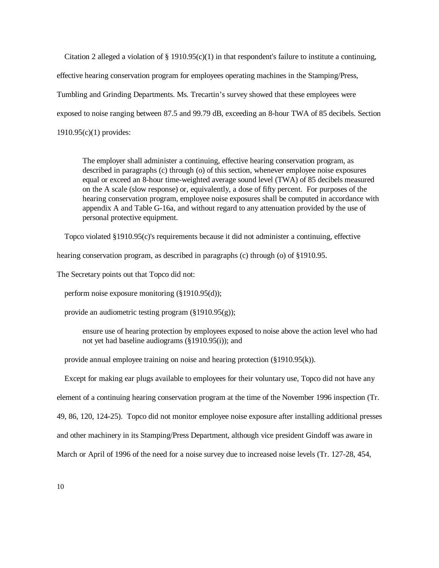Citation 2 alleged a violation of  $\S 1910.95(c)(1)$  in that respondent's failure to institute a continuing, effective hearing conservation program for employees operating machines in the Stamping/Press, Tumbling and Grinding Departments. Ms. Trecartin's survey showed that these employees were exposed to noise ranging between 87.5 and 99.79 dB, exceeding an 8-hour TWA of 85 decibels. Section 1910.95(c)(1) provides:

The employer shall administer a continuing, effective hearing conservation program, as described in paragraphs (c) through (o) of this section, whenever employee noise exposures equal or exceed an 8-hour time-weighted average sound level (TWA) of 85 decibels measured on the A scale (slow response) or, equivalently, a dose of fifty percent. For purposes of the hearing conservation program, employee noise exposures shall be computed in accordance with appendix A and Table G-16a, and without regard to any attenuation provided by the use of personal protective equipment.

Topco violated §1910.95(c)'s requirements because it did not administer a continuing, effective

hearing conservation program, as described in paragraphs (c) through (o) of §1910.95.

The Secretary points out that Topco did not:

perform noise exposure monitoring (§1910.95(d));

provide an audiometric testing program  $(\S1910.95(g))$ ;

ensure use of hearing protection by employees exposed to noise above the action level who had not yet had baseline audiograms (§1910.95(i)); and

provide annual employee training on noise and hearing protection  $(\S1910.95(k))$ .

Except for making ear plugs available to employees for their voluntary use, Topco did not have any element of a continuing hearing conservation program at the time of the November 1996 inspection (Tr. 49, 86, 120, 124-25). Topco did not monitor employee noise exposure after installing additional presses and other machinery in its Stamping/Press Department, although vice president Gindoff was aware in March or April of 1996 of the need for a noise survey due to increased noise levels (Tr. 127-28, 454,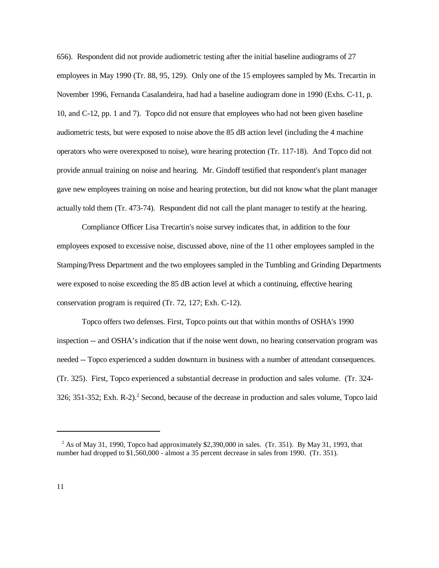656). Respondent did not provide audiometric testing after the initial baseline audiograms of 27 employees in May 1990 (Tr. 88, 95, 129). Only one of the 15 employees sampled by Ms. Trecartin in November 1996, Fernanda Casalandeira, had had a baseline audiogram done in 1990 (Exhs. C-11, p. 10, and C-12, pp. 1 and 7). Topco did not ensure that employees who had not been given baseline audiometric tests, but were exposed to noise above the 85 dB action level (including the 4 machine operators who were overexposed to noise), wore hearing protection (Tr. 117-18). And Topco did not provide annual training on noise and hearing. Mr. Gindoff testified that respondent's plant manager gave new employees training on noise and hearing protection, but did not know what the plant manager actually told them (Tr. 473-74). Respondent did not call the plant manager to testify at the hearing.

Compliance Officer Lisa Trecartin's noise survey indicates that, in addition to the four employees exposed to excessive noise, discussed above, nine of the 11 other employees sampled in the Stamping/Press Department and the two employees sampled in the Tumbling and Grinding Departments were exposed to noise exceeding the 85 dB action level at which a continuing, effective hearing conservation program is required (Tr. 72, 127; Exh. C-12).

Topco offers two defenses. First, Topco points out that within months of OSHA's 1990 inspection -- and OSHA's indication that if the noise went down, no hearing conservation program was needed -- Topco experienced a sudden downturn in business with a number of attendant consequences. (Tr. 325). First, Topco experienced a substantial decrease in production and sales volume. (Tr. 324- 326; 351-352; Exh. R-2).<sup>2</sup> Second, because of the decrease in production and sales volume, Topco laid

 $2$  As of May 31, 1990, Topco had approximately \$2,390,000 in sales. (Tr. 351). By May 31, 1993, that number had dropped to \$1,560,000 - almost a 35 percent decrease in sales from 1990. (Tr. 351).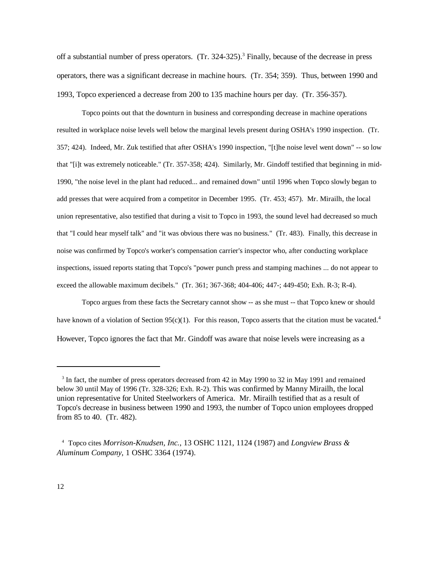off a substantial number of press operators. (Tr. 324-325).<sup>3</sup> Finally, because of the decrease in press operators, there was a significant decrease in machine hours. (Tr. 354; 359). Thus, between 1990 and 1993, Topco experienced a decrease from 200 to 135 machine hours per day. (Tr. 356-357).

Topco points out that the downturn in business and corresponding decrease in machine operations resulted in workplace noise levels well below the marginal levels present during OSHA's 1990 inspection. (Tr. 357; 424). Indeed, Mr. Zuk testified that after OSHA's 1990 inspection, "[t]he noise level went down" -- so low that "[i]t was extremely noticeable." (Tr. 357-358; 424). Similarly, Mr. Gindoff testified that beginning in mid-1990, "the noise level in the plant had reduced... and remained down" until 1996 when Topco slowly began to add presses that were acquired from a competitor in December 1995. (Tr. 453; 457). Mr. Mirailh, the local union representative, also testified that during a visit to Topco in 1993, the sound level had decreased so much that "I could hear myself talk" and "it was obvious there was no business." (Tr. 483). Finally, this decrease in noise was confirmed by Topco's worker's compensation carrier's inspector who, after conducting workplace inspections, issued reports stating that Topco's "power punch press and stamping machines ... do not appear to exceed the allowable maximum decibels." (Tr. 361; 367-368; 404-406; 447-; 449-450; Exh. R-3; R-4).

Topco argues from these facts the Secretary cannot show -- as she must -- that Topco knew or should have known of a violation of Section 95(c)(1). For this reason, Topco asserts that the citation must be vacated.<sup>4</sup> However, Topco ignores the fact that Mr. Gindoff was aware that noise levels were increasing as a

<sup>&</sup>lt;sup>3</sup> In fact, the number of press operators decreased from 42 in May 1990 to 32 in May 1991 and remained below 30 until May of 1996 (Tr. 328-326; Exh. R-2). This was confirmed by Manny Mirailh, the local union representative for United Steelworkers of America. Mr. Mirailh testified that as a result of Topco's decrease in business between 1990 and 1993, the number of Topco union employees dropped from 85 to 40. (Tr. 482).

<sup>4</sup> Topco cites *Morrison-Knudsen, Inc.*, 13 OSHC 1121, 1124 (1987) and *Longview Brass & Aluminum Company*, 1 OSHC 3364 (1974).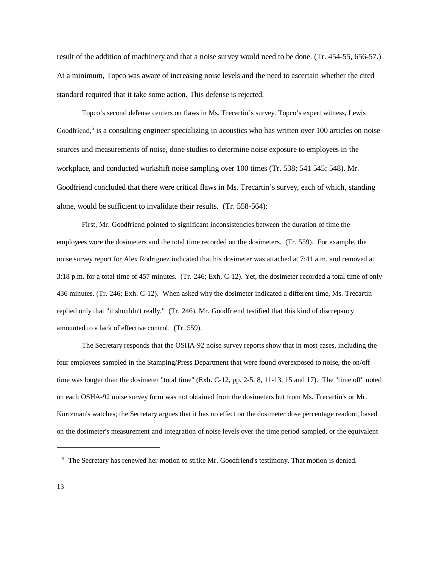result of the addition of machinery and that a noise survey would need to be done. (Tr. 454-55, 656-57.) At a minimum, Topco was aware of increasing noise levels and the need to ascertain whether the cited standard required that it take some action. This defense is rejected.

Topco's second defense centers on flaws in Ms. Trecartin's survey. Topco's expert witness, Lewis Goodfriend,<sup>5</sup> is a consulting engineer specializing in acoustics who has written over 100 articles on noise sources and measurements of noise, done studies to determine noise exposure to employees in the workplace, and conducted workshift noise sampling over 100 times (Tr. 538; 541 545; 548). Mr. Goodfriend concluded that there were critical flaws in Ms. Trecartin's survey, each of which, standing alone, would be sufficient to invalidate their results. (Tr. 558-564):

First, Mr. Goodfriend pointed to significant inconsistencies between the duration of time the employees wore the dosimeters and the total time recorded on the dosimeters. (Tr. 559). For example, the noise survey report for Alex Rodriguez indicated that his dosimeter was attached at 7:41 a.m. and removed at 3:18 p.m. for a total time of 457 minutes. (Tr. 246; Exh. C-12). Yet, the dosimeter recorded a total time of only 436 minutes. (Tr. 246; Exh. C-12). When asked why the dosimeter indicated a different time, Ms. Trecartin replied only that "it shouldn't really." (Tr. 246). Mr. Goodfriend testified that this kind of discrepancy amounted to a lack of effective control. (Tr. 559).

The Secretary responds that the OSHA-92 noise survey reports show that in most cases, including the four employees sampled in the Stamping/Press Department that were found overexposed to noise, the on/off time was longer than the dosimeter "total time" (Exh. C-12, pp. 2-5, 8, 11-13, 15 and 17). The "time off" noted on each OSHA-92 noise survey form was not obtained from the dosimeters but from Ms. Trecartin's or Mr. Kurtzman's watches; the Secretary argues that it has no effect on the dosimeter dose percentage readout, based on the dosimeter's measurement and integration of noise levels over the time period sampled, or the equivalent

 $5$  The Secretary has renewed her motion to strike Mr. Goodfriend's testimony. That motion is denied.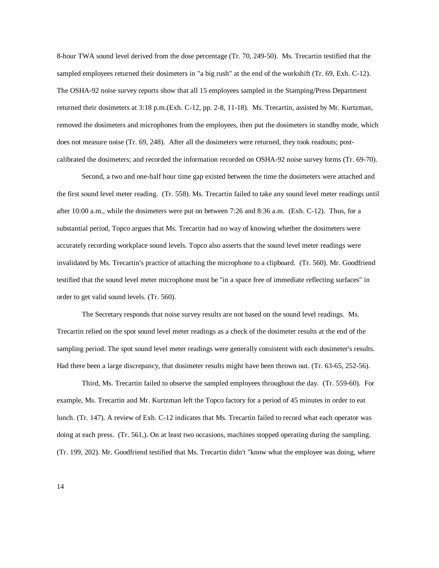8-hour TWA sound level derived from the dose percentage (Tr. 70, 249-50). Ms. Trecartin testified that the sampled employees returned their dosimeters in "a big rush" at the end of the workshift (Tr. 69, Exh. C-12). The OSHA-92 noise survey reports show that all 15 employees sampled in the Stamping/Press Department returned their dosimeters at 3:18 p.m.(Exh. C-12, pp. 2-8, 11-18). Ms. Trecartin, assisted by Mr. Kurtzman, removed the dosimeters and microphones from the employees, then put the dosimeters in standby mode, which does not measure noise (Tr. 69, 248). After all the dosimeters were returned, they took readouts; postcalibrated the dosimeters; and recorded the information recorded on OSHA-92 noise survey forms (Tr. 69-70).

Second, a two and one-half hour time gap existed between the time the dosimeters were attached and the first sound level meter reading. (Tr. 558). Ms. Trecartin failed to take any sound level meter readings until after 10:00 a.m., while the dosimeters were put on between 7:26 and 8:36 a.m. (Exh. C-12). Thus, for a substantial period, Topco argues that Ms. Trecartin had no way of knowing whether the dosimeters were accurately recording workplace sound levels. Topco also asserts that the sound level meter readings were invalidated by Ms. Trecartin's practice of attaching the microphone to a clipboard. (Tr. 560). Mr. Goodfriend testified that the sound level meter microphone must be "in a space free of immediate reflecting surfaces" in order to get valid sound levels. (Tr. 560).

The Secretary responds that noise survey results are not based on the sound level readings. Ms. Trecartin relied on the spot sound level meter readings as a check of the dosimeter results at the end of the sampling period. The spot sound level meter readings were generally consistent with each dosimeter's results. Had there been a large discrepancy, that dosimeter results might have been thrown out. (Tr. 63-65, 252-56).

Third, Ms. Trecartin failed to observe the sampled employees throughout the day. (Tr. 559-60). For example, Ms. Trecartin and Mr. Kurtzman left the Topco factory for a period of 45 minutes in order to eat lunch. (Tr. 147). A review of Exh. C-12 indicates that Ms. Trecartin failed to record what each operator was doing at each press. (Tr. 561,). On at least two occasions, machines stopped operating during the sampling. (Tr. 199, 202). Mr. Goodfriend testified that Ms. Trecartin didn't "know what the employee was doing, where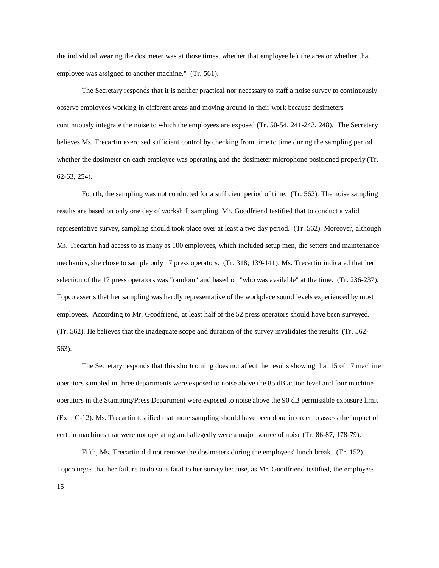the individual wearing the dosimeter was at those times, whether that employee left the area or whether that employee was assigned to another machine." (Tr. 561).

The Secretary responds that it is neither practical nor necessary to staff a noise survey to continuously observe employees working in different areas and moving around in their work because dosimeters continuously integrate the noise to which the employees are exposed (Tr. 50-54, 241-243, 248). The Secretary believes Ms. Trecartin exercised sufficient control by checking from time to time during the sampling period whether the dosimeter on each employee was operating and the dosimeter microphone positioned properly (Tr. 62-63, 254).

Fourth, the sampling was not conducted for a sufficient period of time. (Tr. 562). The noise sampling results are based on only one day of workshift sampling. Mr. Goodfriend testified that to conduct a valid representative survey, sampling should took place over at least a two day period. (Tr. 562). Moreover, although Ms. Trecartin had access to as many as 100 employees, which included setup men, die setters and maintenance mechanics, she chose to sample only 17 press operators. (Tr. 318; 139-141). Ms. Trecartin indicated that her selection of the 17 press operators was "random" and based on "who was available" at the time. (Tr. 236-237). Topco asserts that her sampling was hardly representative of the workplace sound levels experienced by most employees. According to Mr. Goodfriend, at least half of the 52 press operators should have been surveyed. (Tr. 562). He believes that the inadequate scope and duration of the survey invalidates the results. (Tr. 562- 563).

The Secretary responds that this shortcoming does not affect the results showing that 15 of 17 machine operators sampled in three departments were exposed to noise above the 85 dB action level and four machine operators in the Stamping/Press Department were exposed to noise above the 90 dB permissible exposure limit (Exh. C-12). Ms. Trecartin testified that more sampling should have been done in order to assess the impact of certain machines that were not operating and allegedly were a major source of noise (Tr. 86-87, 178-79).

15 Fifth, Ms. Trecartin did not remove the dosimeters during the employees' lunch break. (Tr. 152). Topco urges that her failure to do so is fatal to her survey because, as Mr. Goodfriend testified, the employees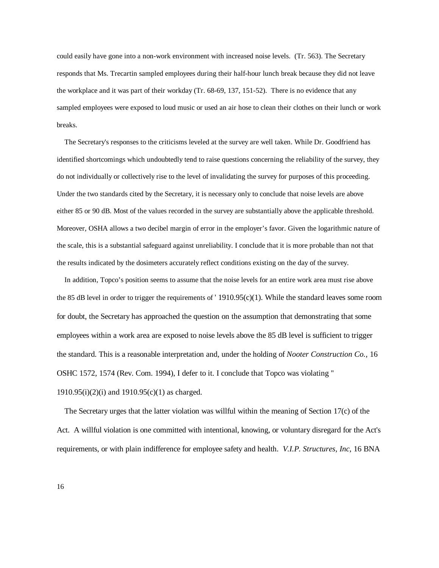could easily have gone into a non-work environment with increased noise levels. (Tr. 563). The Secretary responds that Ms. Trecartin sampled employees during their half-hour lunch break because they did not leave the workplace and it was part of their workday (Tr. 68-69, 137, 151-52). There is no evidence that any sampled employees were exposed to loud music or used an air hose to clean their clothes on their lunch or work breaks.

The Secretary's responses to the criticisms leveled at the survey are well taken. While Dr. Goodfriend has identified shortcomings which undoubtedly tend to raise questions concerning the reliability of the survey, they do not individually or collectively rise to the level of invalidating the survey for purposes of this proceeding. Under the two standards cited by the Secretary, it is necessary only to conclude that noise levels are above either 85 or 90 dB. Most of the values recorded in the survey are substantially above the applicable threshold. Moreover, OSHA allows a two decibel margin of error in the employer's favor. Given the logarithmic nature of the scale, this is a substantial safeguard against unreliability. I conclude that it is more probable than not that the results indicated by the dosimeters accurately reflect conditions existing on the day of the survey.

In addition, Topco's position seems to assume that the noise levels for an entire work area must rise above the 85 dB level in order to trigger the requirements of '  $1910.95(c)(1)$ . While the standard leaves some room for doubt, the Secretary has approached the question on the assumption that demonstrating that some employees within a work area are exposed to noise levels above the 85 dB level is sufficient to trigger the standard. This is a reasonable interpretation and, under the holding of *Nooter Construction Co.*, 16 OSHC 1572, 1574 (Rev. Com. 1994), I defer to it. I conclude that Topco was violating '' 1910.95(i)(2)(i) and 1910.95(c)(1) as charged.

The Secretary urges that the latter violation was willful within the meaning of Section 17(c) of the Act. A willful violation is one committed with intentional, knowing, or voluntary disregard for the Act's requirements, or with plain indifference for employee safety and health. *V.I.P. Structures, Inc*, 16 BNA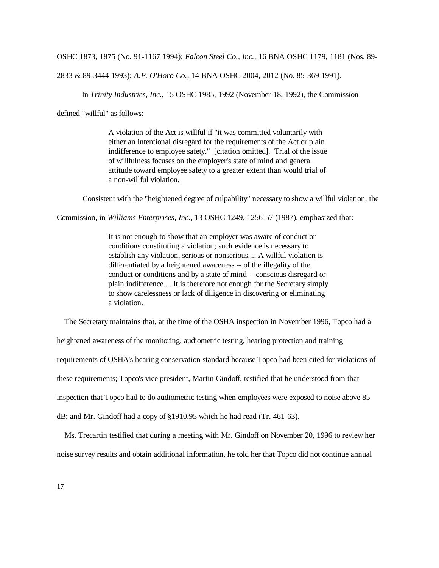OSHC 1873, 1875 (No. 91-1167 1994); *Falcon Steel Co., Inc.*, 16 BNA OSHC 1179, 1181 (Nos. 89-

2833 & 89-3444 1993); *A.P. O'Horo Co.*, 14 BNA OSHC 2004, 2012 (No. 85-369 1991).

In *Trinity Industries, Inc.*, 15 OSHC 1985, 1992 (November 18, 1992), the Commission

defined "willful" as follows:

A violation of the Act is willful if "it was committed voluntarily with either an intentional disregard for the requirements of the Act or plain indifference to employee safety." [citation omitted]. Trial of the issue of willfulness focuses on the employer's state of mind and general attitude toward employee safety to a greater extent than would trial of a non-willful violation.

Consistent with the "heightened degree of culpability" necessary to show a willful violation, the

Commission, in *Williams Enterprises, Inc.*, 13 OSHC 1249, 1256-57 (1987), emphasized that:

It is not enough to show that an employer was aware of conduct or conditions constituting a violation; such evidence is necessary to establish any violation, serious or nonserious.... A willful violation is differentiated by a heightened awareness -- of the illegality of the conduct or conditions and by a state of mind -- conscious disregard or plain indifference.... It is therefore not enough for the Secretary simply to show carelessness or lack of diligence in discovering or eliminating a violation.

The Secretary maintains that, at the time of the OSHA inspection in November 1996, Topco had a

heightened awareness of the monitoring, audiometric testing, hearing protection and training requirements of OSHA's hearing conservation standard because Topco had been cited for violations of these requirements; Topco's vice president, Martin Gindoff, testified that he understood from that inspection that Topco had to do audiometric testing when employees were exposed to noise above 85 dB; and Mr. Gindoff had a copy of §1910.95 which he had read (Tr. 461-63).

Ms. Trecartin testified that during a meeting with Mr. Gindoff on November 20, 1996 to review her noise survey results and obtain additional information, he told her that Topco did not continue annual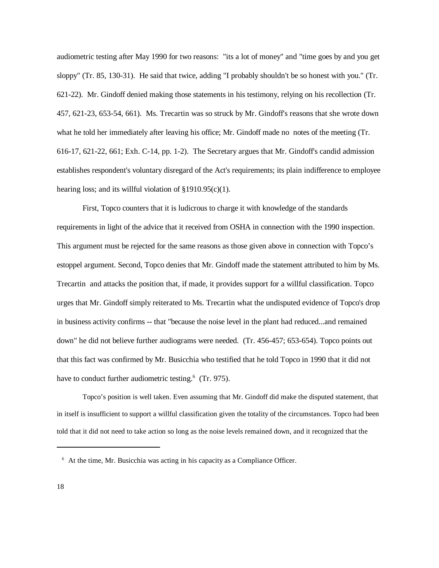audiometric testing after May 1990 for two reasons: "its a lot of money" and "time goes by and you get sloppy" (Tr. 85, 130-31). He said that twice, adding "I probably shouldn't be so honest with you." (Tr. 621-22). Mr. Gindoff denied making those statements in his testimony, relying on his recollection (Tr. 457, 621-23, 653-54, 661). Ms. Trecartin was so struck by Mr. Gindoff's reasons that she wrote down what he told her immediately after leaving his office; Mr. Gindoff made no notes of the meeting (Tr. 616-17, 621-22, 661; Exh. C-14, pp. 1-2). The Secretary argues that Mr. Gindoff's candid admission establishes respondent's voluntary disregard of the Act's requirements; its plain indifference to employee hearing loss; and its willful violation of §1910.95(c)(1).

First, Topco counters that it is ludicrous to charge it with knowledge of the standards requirements in light of the advice that it received from OSHA in connection with the 1990 inspection. This argument must be rejected for the same reasons as those given above in connection with Topco's estoppel argument. Second, Topco denies that Mr. Gindoff made the statement attributed to him by Ms. Trecartin and attacks the position that, if made, it provides support for a willful classification. Topco urges that Mr. Gindoff simply reiterated to Ms. Trecartin what the undisputed evidence of Topco's drop in business activity confirms -- that "because the noise level in the plant had reduced...and remained down" he did not believe further audiograms were needed. (Tr. 456-457; 653-654). Topco points out that this fact was confirmed by Mr. Busicchia who testified that he told Topco in 1990 that it did not have to conduct further audiometric testing.<sup>6</sup> (Tr. 975).

Topco's position is well taken. Even assuming that Mr. Gindoff did make the disputed statement, that in itself is insufficient to support a willful classification given the totality of the circumstances. Topco had been told that it did not need to take action so long as the noise levels remained down, and it recognized that the

 $6$  At the time, Mr. Busicchia was acting in his capacity as a Compliance Officer.